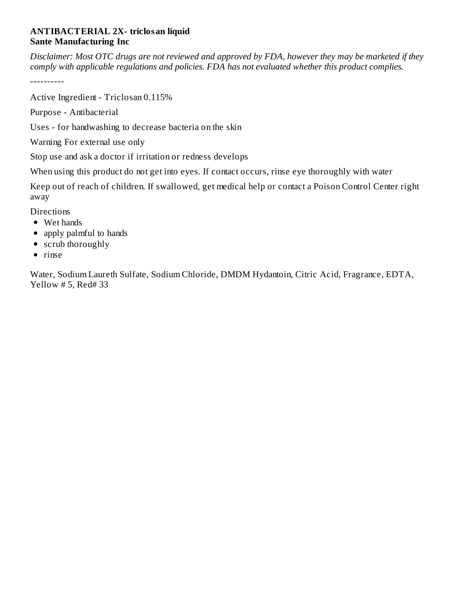## **ANTIBACTERIAL 2X- triclosan liquid Sante Manufacturing Inc**

Disclaimer: Most OTC drugs are not reviewed and approved by FDA, however they may be marketed if they *comply with applicable regulations and policies. FDA has not evaluated whether this product complies.*

----------

Active Ingredient - Triclosan 0.115%

Purpose - Antibacterial

Uses - for handwashing to decrease bacteria on the skin

Warning For external use only

Stop use and ask a doctor if irritation or redness develops

When using this product do not get into eyes. If contact occurs, rinse eye thoroughly with water

Keep out of reach of children. If swallowed, get medical help or contact a Poison Control Center right away

**Directions** 

- Wet hands
- apply palmful to hands
- scrub thoroughly
- $\bullet$  rinse

Water, Sodium Laureth Sulfate, Sodium Chloride, DMDM Hydantoin, Citric Acid, Fragrance, EDTA, Yellow # 5, Red# 33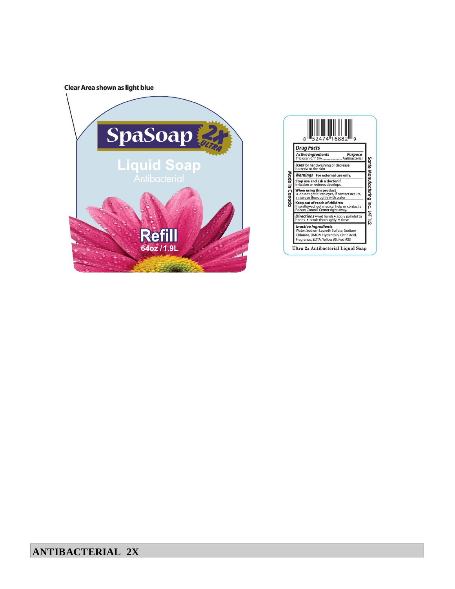Clear Area shown as light blue



| 52474 16882                                                                                                                                           |                                  |
|-------------------------------------------------------------------------------------------------------------------------------------------------------|----------------------------------|
| <b>Drug Facts</b>                                                                                                                                     |                                  |
| <b>Active Ingredients</b><br><b>Purpose</b><br>Triclosan 0.115%  Antibacterial                                                                        |                                  |
| <b>Uses</b> for handwashing or decrease<br>bacteria to the skin                                                                                       |                                  |
| Warnings For external use only.                                                                                                                       |                                  |
| Stop use and ask a doctor if<br>irritation or redness develops.                                                                                       |                                  |
| When using this product<br>do not get it into eyes, If contact occurs,<br>rinse eye thoroughly with water                                             |                                  |
| Keep out of reach of children<br>If swallowed, get medical help or contact a<br>Poison Control Center right away.                                     | Sante Manufacturing Inc. 14T 112 |
| Directions • wet hands • apply palmful to<br>hands • scrub thoroughly • rinse                                                                         |                                  |
| <b>Inactive Ingredients</b><br>Water, Sodium Laureth Sulfate, Sodium<br>Chloride, DMDM Hydantoin, Citric Acid,<br>Fragrance, EDTA, Yellow #5, Red #33 |                                  |
|                                                                                                                                                       |                                  |

## **ANTIBACTERIAL 2X**